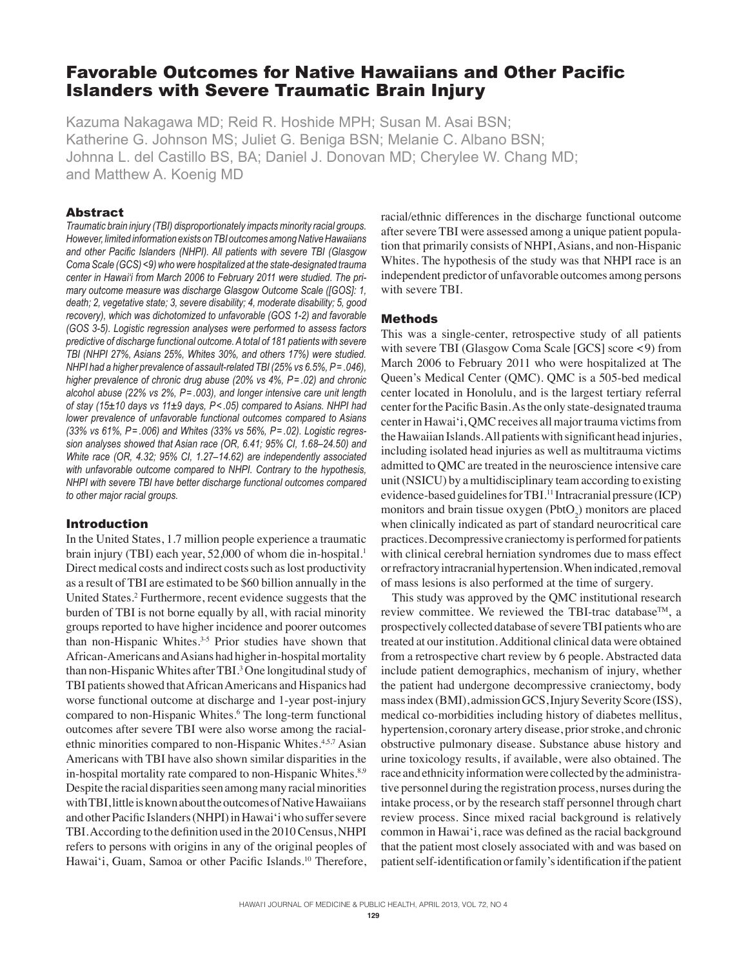# Favorable Outcomes for Native Hawaiians and Other Pacific Islanders with Severe Traumatic Brain Injury

Kazuma Nakagawa MD; Reid R. Hoshide MPH; Susan M. Asai BSN; Katherine G. Johnson MS; Juliet G. Beniga BSN; Melanie C. Albano BSN; Johnna L. del Castillo BS, BA; Daniel J. Donovan MD; Cherylee W. Chang MD; and Matthew A. Koenig MD

# Abstract

*Traumatic brain injury (TBI) disproportionately impacts minority racial groups. However, limited information exists on TBI outcomes among Native Hawaiians and other Pacific Islanders (NHPI). All patients with severe TBI (Glasgow Coma Scale (GCS) <9) who were hospitalized at the state-designated trauma center in Hawai'i from March 2006 to February 2011 were studied. The primary outcome measure was discharge Glasgow Outcome Scale ([GOS]: 1, death; 2, vegetative state; 3, severe disability; 4, moderate disability; 5, good recovery), which was dichotomized to unfavorable (GOS 1-2) and favorable (GOS 3-5). Logistic regression analyses were performed to assess factors predictive of discharge functional outcome. A total of 181 patients with severe TBI (NHPI 27%, Asians 25%, Whites 30%, and others 17%) were studied. NHPI had a higher prevalence of assault-related TBI (25% vs 6.5%, P= .046), higher prevalence of chronic drug abuse (20% vs 4%, P= .02) and chronic alcohol abuse (22% vs 2%, P= .003), and longer intensive care unit length of stay (15±10 days vs 11±9 days, P< .05) compared to Asians. NHPI had lower prevalence of unfavorable functional outcomes compared to Asians (33% vs 61%, P= .006) and Whites (33% vs 56%, P= .02). Logistic regression analyses showed that Asian race (OR, 6.41; 95% CI, 1.68–24.50) and White race (OR, 4.32; 95% CI, 1.27–14.62) are independently associated with unfavorable outcome compared to NHPI. Contrary to the hypothesis, NHPI with severe TBI have better discharge functional outcomes compared to other major racial groups.*

# Introduction

In the United States, 1.7 million people experience a traumatic brain injury (TBI) each year, 52,000 of whom die in-hospital.<sup>1</sup> Direct medical costs and indirect costs such as lost productivity as a result of TBI are estimated to be \$60 billion annually in the United States.<sup>2</sup> Furthermore, recent evidence suggests that the burden of TBI is not borne equally by all, with racial minority groups reported to have higher incidence and poorer outcomes than non-Hispanic Whites.3-5 Prior studies have shown that African-Americans and Asians had higher in-hospital mortality than non-Hispanic Whites after TBI.<sup>3</sup> One longitudinal study of TBI patients showed that African Americans and Hispanics had worse functional outcome at discharge and 1-year post-injury compared to non-Hispanic Whites.<sup>6</sup> The long-term functional outcomes after severe TBI were also worse among the racialethnic minorities compared to non-Hispanic Whites.<sup>4,5,7</sup> Asian Americans with TBI have also shown similar disparities in the in-hospital mortality rate compared to non-Hispanic Whites.<sup>8,9</sup> Despite the racial disparities seen among many racial minorities with TBI, little is known about the outcomes of Native Hawaiians and other Pacific Islanders (NHPI) in Hawai'i who suffer severe TBI. According to the definition used in the 2010 Census, NHPI refers to persons with origins in any of the original peoples of Hawai'i, Guam, Samoa or other Pacific Islands.<sup>10</sup> Therefore,

racial/ethnic differences in the discharge functional outcome after severe TBI were assessed among a unique patient population that primarily consists of NHPI, Asians, and non-Hispanic Whites. The hypothesis of the study was that NHPI race is an independent predictor of unfavorable outcomes among persons with severe TBI.

# Methods

This was a single-center, retrospective study of all patients with severe TBI (Glasgow Coma Scale [GCS] score <9) from March 2006 to February 2011 who were hospitalized at The Queen's Medical Center (QMC). QMC is a 505-bed medical center located in Honolulu, and is the largest tertiary referral center for the Pacific Basin. As the only state-designated trauma center in Hawai'i, QMC receives all major trauma victims from the Hawaiian Islands. All patients with significant head injuries, including isolated head injuries as well as multitrauma victims admitted to QMC are treated in the neuroscience intensive care unit (NSICU) by a multidisciplinary team according to existing evidence-based guidelines for TBI.<sup>11</sup> Intracranial pressure (ICP) monitors and brain tissue oxygen  $(PhotO<sub>2</sub>)$  monitors are placed when clinically indicated as part of standard neurocritical care practices. Decompressive craniectomy is performed for patients with clinical cerebral herniation syndromes due to mass effect or refractory intracranial hypertension. When indicated, removal of mass lesions is also performed at the time of surgery.

This study was approved by the QMC institutional research review committee. We reviewed the TBI-trac database<sup>TM</sup>, a prospectively collected database of severe TBI patients who are treated at our institution. Additional clinical data were obtained from a retrospective chart review by 6 people. Abstracted data include patient demographics, mechanism of injury, whether the patient had undergone decompressive craniectomy, body mass index (BMI), admission GCS, Injury Severity Score (ISS), medical co-morbidities including history of diabetes mellitus, hypertension, coronary artery disease, prior stroke, and chronic obstructive pulmonary disease. Substance abuse history and urine toxicology results, if available, were also obtained. The race and ethnicity information were collected by the administrative personnel during the registration process, nurses during the intake process, or by the research staff personnel through chart review process. Since mixed racial background is relatively common in Hawai'i, race was defined as the racial background that the patient most closely associated with and was based on patient self-identification or family's identification if the patient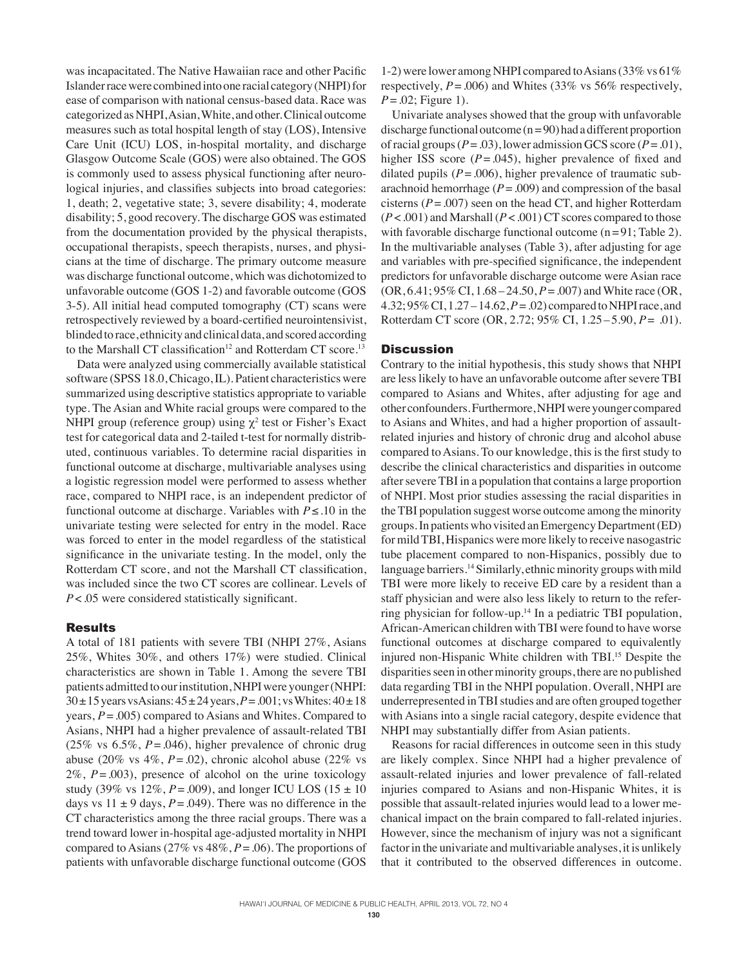was incapacitated. The Native Hawaiian race and other Pacific Islander race were combined into one racial category (NHPI) for ease of comparison with national census-based data. Race was categorized as NHPI, Asian, White, and other. Clinical outcome measures such as total hospital length of stay (LOS), Intensive Care Unit (ICU) LOS, in-hospital mortality, and discharge Glasgow Outcome Scale (GOS) were also obtained. The GOS is commonly used to assess physical functioning after neurological injuries, and classifies subjects into broad categories: 1, death; 2, vegetative state; 3, severe disability; 4, moderate disability; 5, good recovery. The discharge GOS was estimated from the documentation provided by the physical therapists, occupational therapists, speech therapists, nurses, and physicians at the time of discharge. The primary outcome measure was discharge functional outcome, which was dichotomized to unfavorable outcome (GOS 1-2) and favorable outcome (GOS 3-5). All initial head computed tomography (CT) scans were retrospectively reviewed by a board-certified neurointensivist, blinded to race, ethnicity and clinical data, and scored according to the Marshall CT classification<sup>12</sup> and Rotterdam CT score.<sup>13</sup>

Data were analyzed using commercially available statistical software (SPSS 18.0, Chicago, IL). Patient characteristics were summarized using descriptive statistics appropriate to variable type. The Asian and White racial groups were compared to the NHPI group (reference group) using  $\chi^2$  test or Fisher's Exact test for categorical data and 2-tailed t-test for normally distributed, continuous variables. To determine racial disparities in functional outcome at discharge, multivariable analyses using a logistic regression model were performed to assess whether race, compared to NHPI race, is an independent predictor of functional outcome at discharge. Variables with *P*≤.10 in the univariate testing were selected for entry in the model. Race was forced to enter in the model regardless of the statistical significance in the univariate testing. In the model, only the Rotterdam CT score, and not the Marshall CT classification, was included since the two CT scores are collinear. Levels of *P*<.05 were considered statistically significant.

## Results

A total of 181 patients with severe TBI (NHPI 27%, Asians 25%, Whites 30%, and others 17%) were studied. Clinical characteristics are shown in Table 1. Among the severe TBI patients admitted to our institution, NHPI were younger (NHPI: 30±15years vsAsians: 45±24 years, *P*=.001; vs Whites:40±18 years, *P*=.005) compared to Asians and Whites. Compared to Asians, NHPI had a higher prevalence of assault-related TBI (25% vs 6.5%, *P*=.046), higher prevalence of chronic drug abuse (20% vs  $4\%$ ,  $P = .02$ ), chronic alcohol abuse (22% vs 2%, *P*=.003), presence of alcohol on the urine toxicology study (39% vs  $12\%$ ,  $P = .009$ ), and longer ICU LOS (15  $\pm$  10) days vs  $11 \pm 9$  days,  $P = .049$ ). There was no difference in the CT characteristics among the three racial groups. There was a trend toward lower in-hospital age-adjusted mortality in NHPI compared to Asians (27% vs 48%, *P*=.06). The proportions of patients with unfavorable discharge functional outcome (GOS

1-2) were lower among NHPI compared to Asians (33% vs 61% respectively,  $P = .006$ ) and Whites (33% vs 56% respectively, *P*=.02; Figure 1).

Univariate analyses showed that the group with unfavorable discharge functional outcome  $(n=90)$  had a different proportion of racial groups ( $P = .03$ ), lower admission GCS score ( $P = .01$ ), higher ISS score ( $P = .045$ ), higher prevalence of fixed and dilated pupils  $(P = .006)$ , higher prevalence of traumatic subarachnoid hemorrhage  $(P = .009)$  and compression of the basal cisterns  $(P = .007)$  seen on the head CT, and higher Rotterdam (*P*<.001) and Marshall (*P*<.001) CT scores compared to those with favorable discharge functional outcome (n=91; Table 2). In the multivariable analyses (Table 3), after adjusting for age and variables with pre-specified significance, the independent predictors for unfavorable discharge outcome were Asian race (OR, 6.41; 95% CI, 1.68–24.50, *P*=.007) and White race (OR, 4.32; 95% CI, 1.27 –14.62, *P*=.02) compared to NHPI race, and Rotterdam CT score (OR, 2.72; 95% CI, 1.25–5.90, *P*= .01).

# **Discussion**

Contrary to the initial hypothesis, this study shows that NHPI are less likely to have an unfavorable outcome after severe TBI compared to Asians and Whites, after adjusting for age and other confounders. Furthermore, NHPI were younger compared to Asians and Whites, and had a higher proportion of assaultrelated injuries and history of chronic drug and alcohol abuse compared to Asians. To our knowledge, this is the first study to describe the clinical characteristics and disparities in outcome after severe TBI in a population that contains a large proportion of NHPI. Most prior studies assessing the racial disparities in the TBI population suggest worse outcome among the minority groups. In patients who visited an Emergency Department (ED) for mild TBI, Hispanics were more likely to receive nasogastric tube placement compared to non-Hispanics, possibly due to language barriers.<sup>14</sup> Similarly, ethnic minority groups with mild TBI were more likely to receive ED care by a resident than a staff physician and were also less likely to return to the referring physician for follow-up.<sup>14</sup> In a pediatric TBI population, African-American children with TBI were found to have worse functional outcomes at discharge compared to equivalently injured non-Hispanic White children with TBI.<sup>15</sup> Despite the disparities seen in other minority groups, there are no published data regarding TBI in the NHPI population. Overall, NHPI are underrepresented in TBI studies and are often grouped together with Asians into a single racial category, despite evidence that NHPI may substantially differ from Asian patients.

Reasons for racial differences in outcome seen in this study are likely complex. Since NHPI had a higher prevalence of assault-related injuries and lower prevalence of fall-related injuries compared to Asians and non-Hispanic Whites, it is possible that assault-related injuries would lead to a lower mechanical impact on the brain compared to fall-related injuries. However, since the mechanism of injury was not a significant factor in the univariate and multivariable analyses, it is unlikely that it contributed to the observed differences in outcome.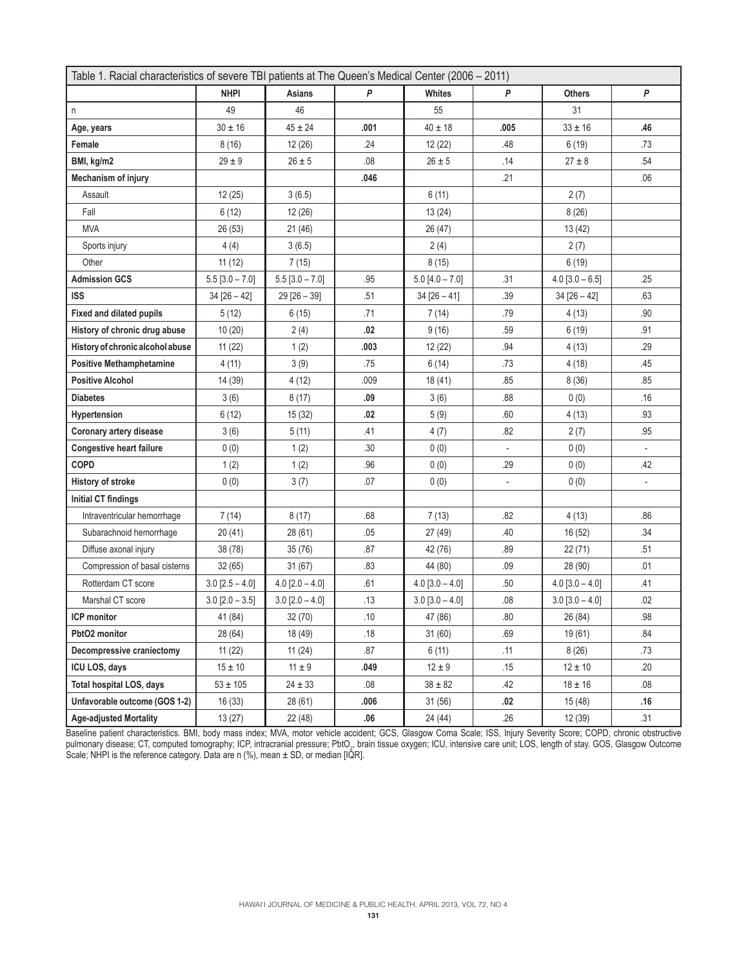| Table 1. Racial characteristics of severe TBI patients at The Queen's Medical Center (2006 - 2011) |                       |                   |       |                       |         |                       |                  |  |
|----------------------------------------------------------------------------------------------------|-----------------------|-------------------|-------|-----------------------|---------|-----------------------|------------------|--|
|                                                                                                    | <b>NHPI</b>           | Asians            | P     | <b>Whites</b>         | P       | <b>Others</b>         | $\boldsymbol{P}$ |  |
| n                                                                                                  | 49                    | 46                |       | 55                    |         | 31                    |                  |  |
| Age, years                                                                                         | $30 \pm 16$           | $45 \pm 24$       | .001  | $40 \pm 18$           | .005    | $33 \pm 16$           | .46              |  |
| Female                                                                                             | 8(16)                 | 12(26)            | .24   | 12 (22)               | .48     | 6(19)                 | .73              |  |
| BMI, kg/m2                                                                                         | $29 \pm 9$            | $26 \pm 5$        | .08   | $26 \pm 5$            | .14     | $27 \pm 8$            | .54              |  |
| Mechanism of injury                                                                                |                       |                   | .046  |                       | .21     |                       | .06              |  |
| Assault                                                                                            | 12(25)                | 3(6.5)            |       | 6(11)                 |         | 2(7)                  |                  |  |
| Fall                                                                                               | 6(12)                 | 12(26)            |       | 13(24)                |         | 8(26)                 |                  |  |
| <b>MVA</b>                                                                                         | 26 (53)               | 21(46)            |       | 26 (47)               |         | 13 (42)               |                  |  |
| Sports injury                                                                                      | 4(4)                  | 3(6.5)            |       | 2(4)                  |         | 2(7)                  |                  |  |
| Other                                                                                              | 11(12)                | 7(15)             |       | 8(15)                 |         | 6(19)                 |                  |  |
| <b>Admission GCS</b>                                                                               | $5.5$ [3.0 - 7.0]     | $5.5$ [3.0 - 7.0] | .95   | $5.0 [4.0 - 7.0]$     | .31     | $4.0$ [3.0 - 6.5]     | .25              |  |
| <b>ISS</b>                                                                                         | $34 [26 - 42]$        | $29 [26 - 39]$    | .51   | $34 [26 - 41]$        | .39     | $34 [26 - 42]$        | .63              |  |
| Fixed and dilated pupils                                                                           | 5(12)                 | 6(15)             | .71   | 7(14)                 | .79     | 4(13)                 | .90              |  |
| History of chronic drug abuse                                                                      | 10(20)                | 2(4)              | .02   | 9(16)                 | .59     | 6(19)                 | .91              |  |
| History of chronic alcohol abuse                                                                   | 11(22)                | 1(2)              | .003  | 12 (22)               | .94     | 4(13)                 | .29              |  |
| <b>Positive Methamphetamine</b>                                                                    | 4(11)                 | 3(9)              | .75   | 6(14)                 | .73     | 4(18)                 | .45              |  |
| <b>Positive Alcohol</b>                                                                            | 14 (39)               | 4(12)             | .009  | 18(41)                | .85     | 8(36)                 | .85              |  |
| <b>Diabetes</b>                                                                                    | 3(6)                  | 8(17)             | .09   | 3(6)                  | .88     | 0(0)                  | .16              |  |
| Hypertension                                                                                       | 6(12)                 | 15(32)            | .02   | 5(9)                  | .60     | 4(13)                 | .93              |  |
| Coronary artery disease                                                                            | 3(6)                  | 5(11)             | .41   | 4(7)                  | .82     | 2(7)                  | .95              |  |
| <b>Congestive heart failure</b>                                                                    | 0(0)                  | 1(2)              | .30   | 0(0)                  |         | 0(0)                  |                  |  |
| <b>COPD</b>                                                                                        | 1(2)                  | 1(2)              | .96   | 0(0)                  | .29     | 0(0)                  | .42              |  |
| History of stroke                                                                                  | 0(0)                  | 3(7)              | .07   | 0(0)                  |         | 0(0)                  | $\frac{1}{2}$    |  |
| Initial CT findings                                                                                |                       |                   |       |                       |         |                       |                  |  |
| Intraventricular hemorrhage                                                                        | 7(14)                 | 8(17)             | .68   | 7(13)                 | .82     | 4(13)                 | .86              |  |
| Subarachnoid hemorrhage                                                                            | 20(41)                | 28(61)            | .05   | 27 (49)               | .40     | 16 (52)               | .34              |  |
| Diffuse axonal injury                                                                              | 38 (78)               | 35(76)            | .87   | 42 (76)               | .89     | 22 (71)               | .51              |  |
| Compression of basal cisterns                                                                      | 32(65)                | 31(67)            | .83   | 44 (80)               | .09     | 28 (90)               | .01              |  |
| Rotterdam CT score                                                                                 | $3.0$ [2.5 – 4.0]     | $4.0$ [2.0 - 4.0] | .61   | $4.0 [3.0 - 4.0]$     | .50     | $4.0$ [3.0 - 4.0]     | .41              |  |
| Marshal CT score                                                                                   | $3.0$ [ $2.0 - 3.5$ ] | $3.0$ [2.0 - 4.0] | .13   | $3.0$ [ $3.0 - 4.0$ ] | .08     | $3.0$ [ $3.0 - 4.0$ ] | .02              |  |
| ICP monitor                                                                                        | 41 (84)               | 32 (70)           | $.10$ | 47 (86)               | $.80\,$ | 26 (84)               | $.98\,$          |  |
| PbtO2 monitor                                                                                      | 28 (64)               | 18 (49)           | .18   | 31(60)                | .69     | 19 (61)               | .84              |  |
| Decompressive craniectomy                                                                          | 11(22)                | 11(24)            | .87   | 6(11)                 | .11     | 8(26)                 | .73              |  |
| ICU LOS, days                                                                                      | $15 \pm 10$           | $11 \pm 9$        | .049  | $12 \pm 9$            | .15     | $12 \pm 10$           | .20              |  |
| Total hospital LOS, days                                                                           | $53 \pm 105$          | $24 \pm 33$       | .08   | $38 \pm 82$           | .42     | $18 \pm 16$           | .08              |  |
| Unfavorable outcome (GOS 1-2)                                                                      | 16(33)                | 28(61)            | .006  | 31(56)                | .02     | 15 (48)               | .16              |  |
| <b>Age-adjusted Mortality</b>                                                                      | 13(27)                | 22 (48)           | .06   | 24 (44)               | .26     | 12 (39)               | .31              |  |

Baseline patient characteristics. BMI, body mass index; MVA, motor vehicle accident; GCS, Glasgow Coma Scale; ISS, Injury Severity Score; COPD, chronic obstructive pulmonary disease; CT, computed tomography; ICP, intracranial pressure; PbtO<sub>2</sub>, brain tissue oxygen; ICU, intensive care unit; LOS, length of stay. GOS, Glasgow Outcome Scale; NHPI is the reference category. Data are n (%), mean  $\pm$  SD, or median [IQR].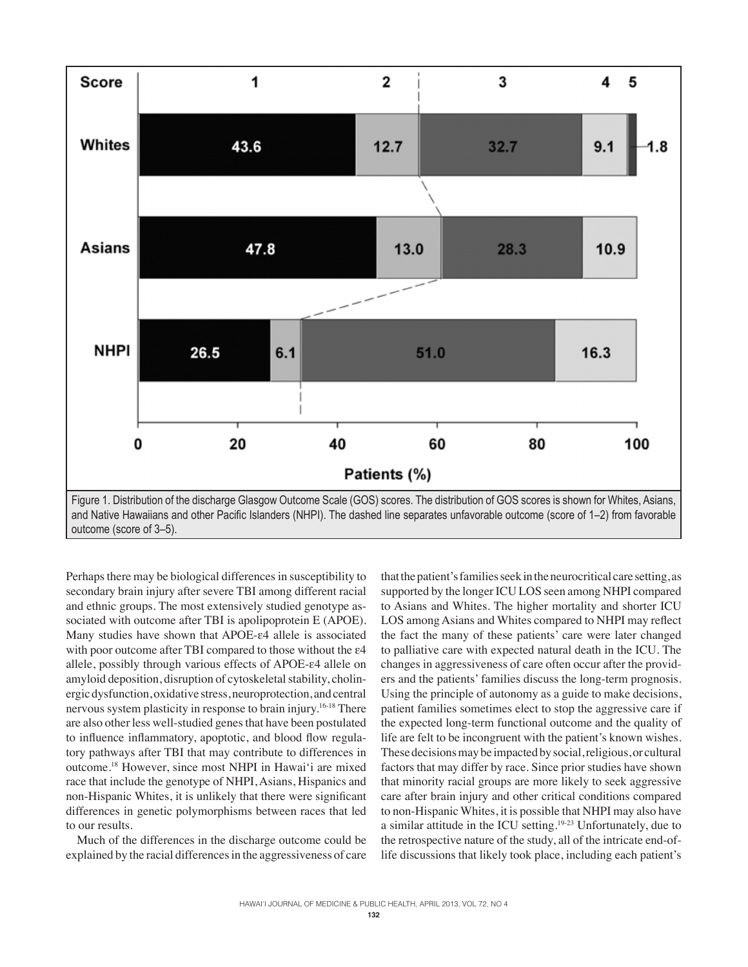

Perhaps there may be biological differences in susceptibility to secondary brain injury after severe TBI among different racial and ethnic groups. The most extensively studied genotype associated with outcome after TBI is apolipoprotein E (APOE). Many studies have shown that APOE-ε4 allele is associated with poor outcome after TBI compared to those without the ε4 allele, possibly through various effects of APOE-ε4 allele on amyloid deposition, disruption of cytoskeletal stability, cholinergic dysfunction, oxidative stress, neuroprotection, and central nervous system plasticity in response to brain injury.16-18 There are also other less well-studied genes that have been postulated to influence inflammatory, apoptotic, and blood flow regulatory pathways after TBI that may contribute to differences in outcome.<sup>18</sup> However, since most NHPI in Hawai'i are mixed race that include the genotype of NHPI, Asians, Hispanics and non-Hispanic Whites, it is unlikely that there were significant differences in genetic polymorphisms between races that led to our results.

Much of the differences in the discharge outcome could be explained by the racial differences in the aggressiveness of care

that the patient's families seek in the neurocritical care setting, as supported by the longer ICU LOS seen among NHPI compared to Asians and Whites. The higher mortality and shorter ICU LOS among Asians and Whites compared to NHPI may reflect the fact the many of these patients' care were later changed to palliative care with expected natural death in the ICU. The changes in aggressiveness of care often occur after the providers and the patients' families discuss the long-term prognosis. Using the principle of autonomy as a guide to make decisions, patient families sometimes elect to stop the aggressive care if the expected long-term functional outcome and the quality of life are felt to be incongruent with the patient's known wishes. These decisions may be impacted by social, religious, or cultural factors that may differ by race. Since prior studies have shown that minority racial groups are more likely to seek aggressive care after brain injury and other critical conditions compared to non-Hispanic Whites, it is possible that NHPI may also have a similar attitude in the ICU setting.19-23 Unfortunately, due to the retrospective nature of the study, all of the intricate end-oflife discussions that likely took place, including each patient's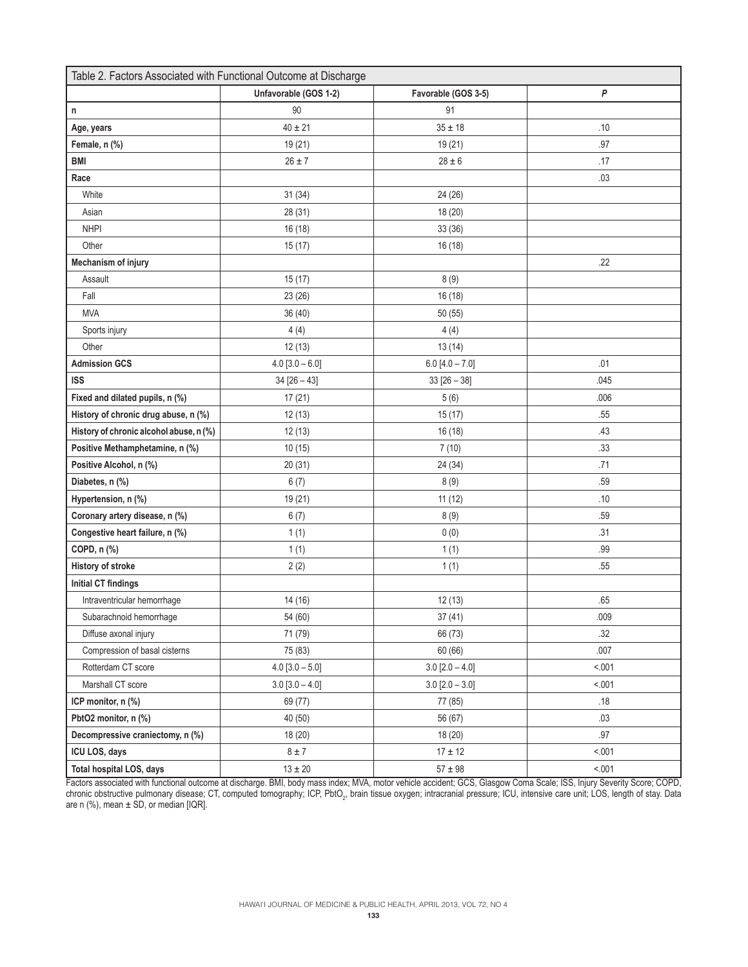| Table 2. Factors Associated with Functional Outcome at Discharge |                       |                       |        |  |  |  |  |
|------------------------------------------------------------------|-----------------------|-----------------------|--------|--|--|--|--|
|                                                                  | Unfavorable (GOS 1-2) | Favorable (GOS 3-5)   | P      |  |  |  |  |
| n                                                                | 90                    | 91                    |        |  |  |  |  |
| Age, years                                                       | $40 \pm 21$           | $35 \pm 18$           | .10    |  |  |  |  |
| Female, n (%)                                                    | 19(21)                | 19 (21)               | .97    |  |  |  |  |
| <b>BMI</b>                                                       | $26 \pm 7$            | $28\pm6$              | .17    |  |  |  |  |
| Race                                                             |                       |                       | .03    |  |  |  |  |
| White                                                            | 31(34)                | 24 (26)               |        |  |  |  |  |
| Asian                                                            | 28 (31)               | 18 (20)               |        |  |  |  |  |
| <b>NHPI</b>                                                      | 16(18)                | 33 (36)               |        |  |  |  |  |
| Other                                                            | 15(17)                | 16(18)                |        |  |  |  |  |
| <b>Mechanism of injury</b>                                       |                       |                       | .22    |  |  |  |  |
| Assault                                                          | 15(17)                | 8(9)                  |        |  |  |  |  |
| Fall                                                             | 23(26)                | 16 (18)               |        |  |  |  |  |
| <b>MVA</b>                                                       | 36(40)                | 50 (55)               |        |  |  |  |  |
| Sports injury                                                    | 4(4)                  | 4(4)                  |        |  |  |  |  |
| Other                                                            | 12(13)                | 13(14)                |        |  |  |  |  |
| <b>Admission GCS</b>                                             | $4.0 [3.0 - 6.0]$     | $6.0 [4.0 - 7.0]$     | .01    |  |  |  |  |
| <b>ISS</b>                                                       | $34 [26 - 43]$        | $33 [26 - 38]$        | .045   |  |  |  |  |
| Fixed and dilated pupils, n (%)                                  | 17(21)                | 5(6)                  | .006   |  |  |  |  |
| History of chronic drug abuse, n (%)                             | 12(13)                | 15(17)                | .55    |  |  |  |  |
| History of chronic alcohol abuse, n (%)                          | 12(13)                | 16 (18)               | .43    |  |  |  |  |
| Positive Methamphetamine, n (%)                                  | 10(15)                | 7(10)                 | .33    |  |  |  |  |
| Positive Alcohol, n (%)                                          | 20(31)                | 24 (34)               | .71    |  |  |  |  |
| Diabetes, n (%)                                                  | 6(7)                  | 8(9)                  | .59    |  |  |  |  |
| Hypertension, n (%)                                              | 19 (21)               | 11(12)                | .10    |  |  |  |  |
| Coronary artery disease, n (%)                                   | 6(7)                  | 8(9)                  | .59    |  |  |  |  |
| Congestive heart failure, n (%)                                  | 1(1)                  | 0(0)                  | .31    |  |  |  |  |
| COPD, n (%)                                                      | 1(1)                  | 1(1)                  | .99    |  |  |  |  |
| <b>History of stroke</b>                                         | 2(2)                  | 1(1)                  | .55    |  |  |  |  |
| <b>Initial CT findings</b>                                       |                       |                       |        |  |  |  |  |
| Intraventricular hemorrhage                                      | 14 (16)               | 12(13)                | .65    |  |  |  |  |
| Subarachnoid hemorrhage                                          | 54 (60)               | 37(41)                | .009   |  |  |  |  |
| Diffuse axonal injury                                            | 71 (79)               | 66 (73)               | .32    |  |  |  |  |
| Compression of basal cisterns                                    | 75 (83)               | 60 (66)               | .007   |  |  |  |  |
| Rotterdam CT score                                               | $4.0 [3.0 - 5.0]$     | $3.0 [2.0 - 4.0]$     | < .001 |  |  |  |  |
| Marshall CT score                                                | $3.0 [3.0 - 4.0]$     | $3.0$ [ $2.0 - 3.0$ ] | < .001 |  |  |  |  |
| ICP monitor, n (%)                                               | 69 (77)               | 77 (85)               | .18    |  |  |  |  |
| PbtO2 monitor, n (%)                                             | 40 (50)               | 56 (67)               | .03    |  |  |  |  |
| Decompressive craniectomy, n (%)                                 | 18(20)                | 18 (20)               | .97    |  |  |  |  |
| ICU LOS, days                                                    | $8 \pm 7$             | $17 \pm 12$           | < 001  |  |  |  |  |
| Total hospital LOS, days                                         | $13\pm20$             | $57\pm98$             | < .001 |  |  |  |  |

Factors associated with functional outcome at discharge. BMI, body mass index; MVA, motor vehicle accident; GCS, Glasgow Coma Scale; ISS, Injury Severity Score; COPD, chronic obstructive pulmonary disease; CT, computed tomography; ICP, PbtO<sub>2</sub>, brain tissue oxygen; intracranial pressure; ICU, intensive care unit; LOS, length of stay. Data are n (%), mean ± SD, or median [IQR].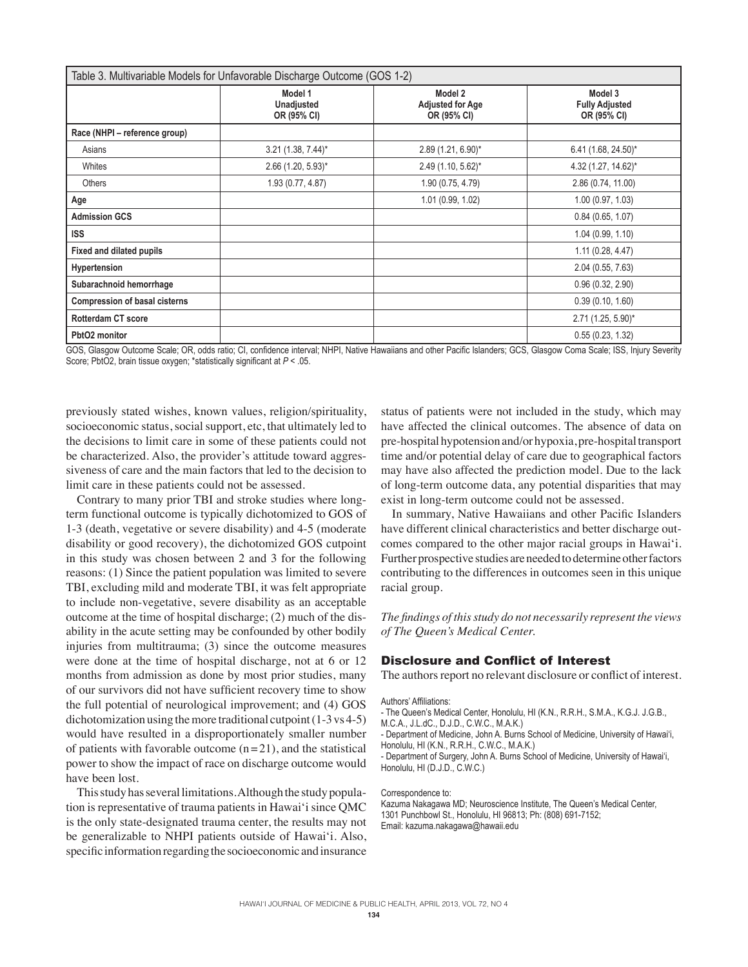| Table 3. Multivariable Models for Unfavorable Discharge Outcome (GOS 1-2) |                                             |                                                   |                                                 |  |  |  |  |
|---------------------------------------------------------------------------|---------------------------------------------|---------------------------------------------------|-------------------------------------------------|--|--|--|--|
|                                                                           | Model 1<br><b>Unadjusted</b><br>OR (95% CI) | Model 2<br><b>Adjusted for Age</b><br>OR (95% CI) | Model 3<br><b>Fully Adjusted</b><br>OR (95% CI) |  |  |  |  |
| Race (NHPI - reference group)                                             |                                             |                                                   |                                                 |  |  |  |  |
| Asians                                                                    | $3.21(1.38, 7.44)^*$                        | 2.89 (1.21, 6.90)*                                | 6.41 (1.68, 24.50)*                             |  |  |  |  |
| Whites                                                                    | $2.66$ (1.20, 5.93) <sup>*</sup>            | 2.49 (1.10, 5.62)*                                | 4.32 (1.27, 14.62)*                             |  |  |  |  |
| <b>Others</b>                                                             | 1.93 (0.77, 4.87)                           | 1.90 (0.75, 4.79)                                 | 2.86 (0.74, 11.00)                              |  |  |  |  |
| Age                                                                       |                                             | 1.01 (0.99, 1.02)                                 | 1.00(0.97, 1.03)                                |  |  |  |  |
| <b>Admission GCS</b>                                                      |                                             |                                                   | 0.84(0.65, 1.07)                                |  |  |  |  |
| <b>ISS</b>                                                                |                                             |                                                   | 1.04(0.99, 1.10)                                |  |  |  |  |
| <b>Fixed and dilated pupils</b>                                           |                                             |                                                   | 1.11(0.28, 4.47)                                |  |  |  |  |
| Hypertension                                                              |                                             |                                                   | 2.04 (0.55, 7.63)                               |  |  |  |  |
| Subarachnoid hemorrhage                                                   |                                             |                                                   | 0.96(0.32, 2.90)                                |  |  |  |  |
| <b>Compression of basal cisterns</b>                                      |                                             |                                                   | 0.39(0.10, 1.60)                                |  |  |  |  |
| <b>Rotterdam CT score</b>                                                 |                                             |                                                   | $2.71(1.25, 5.90)^{*}$                          |  |  |  |  |
| PbtO2 monitor                                                             |                                             |                                                   | 0.55(0.23, 1.32)                                |  |  |  |  |

GOS, Glasgow Outcome Scale; OR, odds ratio; CI, confidence interval; NHPI, Native Hawaiians and other Pacific Islanders; GCS, Glasgow Coma Scale; ISS, Injury Severity Score; PbtO2, brain tissue oxygen; \*statistically significant at  $P < 05$ .

previously stated wishes, known values, religion/spirituality, socioeconomic status, social support, etc, that ultimately led to the decisions to limit care in some of these patients could not be characterized. Also, the provider's attitude toward aggressiveness of care and the main factors that led to the decision to limit care in these patients could not be assessed.

Contrary to many prior TBI and stroke studies where longterm functional outcome is typically dichotomized to GOS of 1-3 (death, vegetative or severe disability) and 4-5 (moderate disability or good recovery), the dichotomized GOS cutpoint in this study was chosen between 2 and 3 for the following reasons: (1) Since the patient population was limited to severe TBI, excluding mild and moderate TBI, it was felt appropriate to include non-vegetative, severe disability as an acceptable outcome at the time of hospital discharge; (2) much of the disability in the acute setting may be confounded by other bodily injuries from multitrauma; (3) since the outcome measures were done at the time of hospital discharge, not at 6 or 12 months from admission as done by most prior studies, many of our survivors did not have sufficient recovery time to show the full potential of neurological improvement; and (4) GOS dichotomization using the more traditional cutpoint  $(1-3 \text{ vs } 4-5)$ would have resulted in a disproportionately smaller number of patients with favorable outcome  $(n=21)$ , and the statistical power to show the impact of race on discharge outcome would have been lost.

This study has several limitations. Although the study population is representative of trauma patients in Hawai'i since QMC is the only state-designated trauma center, the results may not be generalizable to NHPI patients outside of Hawai'i. Also, specific information regarding the socioeconomic and insurance

status of patients were not included in the study, which may have affected the clinical outcomes. The absence of data on pre-hospital hypotension and/or hypoxia, pre-hospital transport time and/or potential delay of care due to geographical factors may have also affected the prediction model. Due to the lack of long-term outcome data, any potential disparities that may exist in long-term outcome could not be assessed.

In summary, Native Hawaiians and other Pacific Islanders have different clinical characteristics and better discharge outcomes compared to the other major racial groups in Hawai'i. Further prospective studies are needed to determine other factors contributing to the differences in outcomes seen in this unique racial group.

*The findings of this study do not necessarily represent the views of The Queen's Medical Center.*

# Disclosure and Conflict of Interest

The authors report no relevant disclosure or conflict of interest.

#### Authors' Affiliations:

- The Queen's Medical Center, Honolulu, HI (K.N., R.R.H., S.M.A., K.G.J. J.G.B.,
- M.C.A., J.L.dC., D.J.D., C.W.C., M.A.K.)

- Department of Medicine, John A. Burns School of Medicine, University of Hawai'i, Honolulu, HI (K.N., R.R.H., C.W.C., M.A.K.)

- Department of Surgery, John A. Burns School of Medicine, University of Hawai'i, Honolulu, HI (D.J.D., C.W.C.)

### Correspondence to:

Kazuma Nakagawa MD; Neuroscience Institute, The Queen's Medical Center, 1301 Punchbowl St., Honolulu, HI 96813; Ph: (808) 691-7152; Email: kazuma.nakagawa@hawaii.edu